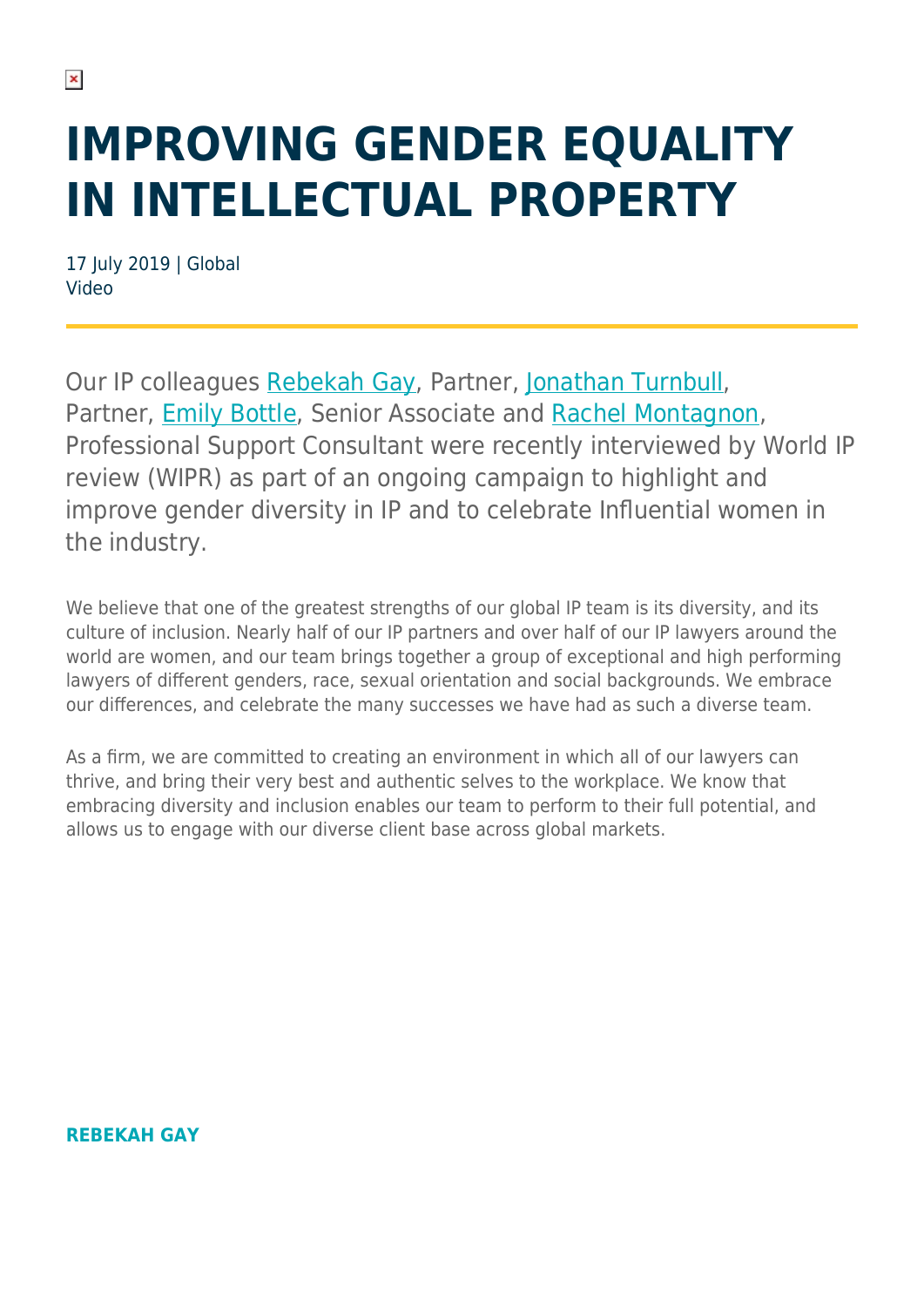## **IMPROVING GENDER EQUALITY IN INTELLECTUAL PROPERTY**

17 July 2019 | Global Video

Our IP colleagues [Rebekah Gay](https://www.herbertsmithfreehills.com/our-people/rebekah-gay), Partner, [Jonathan Turnbull](https://www.herbertsmithfreehills.com/our-people/jonathan-turnbull), Partner, [Emily Bottle](https://www.herbertsmithfreehills.com/our-people/emily-bottle), Senior Associate and [Rachel Montagnon](https://www.herbertsmithfreehills.com/our-people/rachel-montagnon), Professional Support Consultant were recently interviewed by World IP review (WIPR) as part of an ongoing campaign to highlight and improve gender diversity in IP and to celebrate Influential women in the industry.

We believe that one of the greatest strengths of our global IP team is its diversity, and its culture of inclusion. Nearly half of our IP partners and over half of our IP lawyers around the world are women, and our team brings together a group of exceptional and high performing lawyers of different genders, race, sexual orientation and social backgrounds. We embrace our differences, and celebrate the many successes we have had as such a diverse team.

As a firm, we are committed to creating an environment in which all of our lawyers can thrive, and bring their very best and authentic selves to the workplace. We know that embracing diversity and inclusion enables our team to perform to their full potential, and allows us to engage with our diverse client base across global markets.

**REBEKAH GAY**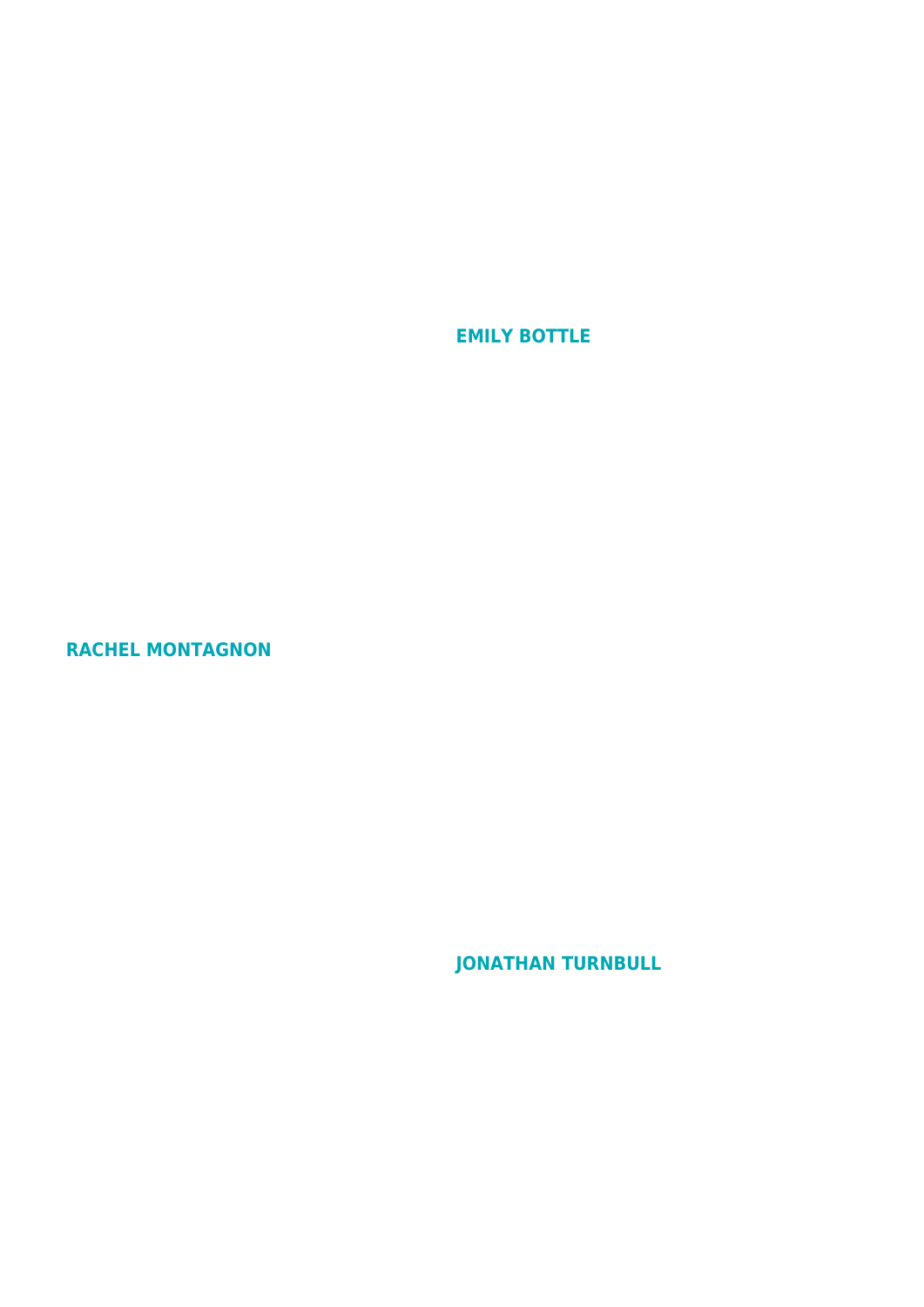**EMILY BOTTLE**

**RACHEL MONTAGNON**

**JONATHAN TURNBULL**